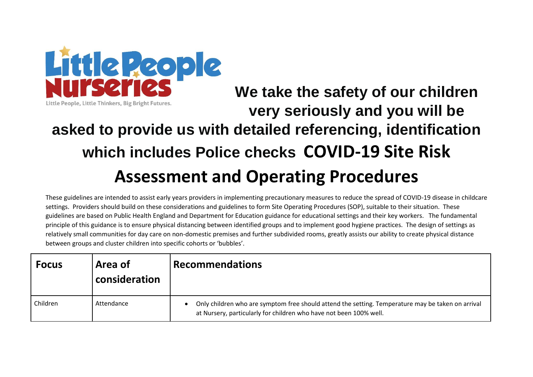

## **We take the safety of our children**  Little People, Little Thinkers, Big Bright Futures. **very seriously and you will be asked to provide us with detailed referencing, identification which includes Police checks COVID-19 Site Risk Assessment and Operating Procedures**

These guidelines are intended to assist early years providers in implementing precautionary measures to reduce the spread of COVID-19 disease in childcare settings. Providers should build on these considerations and guidelines to form Site Operating Procedures (SOP), suitable to their situation. These guidelines are based on Public Health England and Department for Education guidance for educational settings and their key workers. The fundamental principle of this guidance is to ensure physical distancing between identified groups and to implement good hygiene practices. The design of settings as relatively small communities for day care on non-domestic premises and further subdivided rooms, greatly assists our ability to create physical distance between groups and cluster children into specific cohorts or 'bubbles'.

| <b>Focus</b> | Area of<br>consideration | <b>Recommendations</b>                                                                                                                                                  |
|--------------|--------------------------|-------------------------------------------------------------------------------------------------------------------------------------------------------------------------|
| Children     | Attendance               | Only children who are symptom free should attend the setting. Temperature may be taken on arrival<br>at Nursery, particularly for children who have not been 100% well. |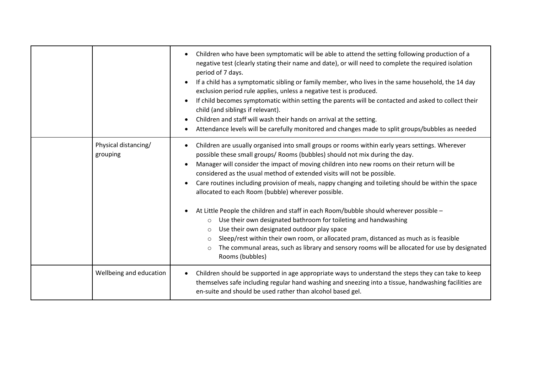|                                  | Children who have been symptomatic will be able to attend the setting following production of a<br>negative test (clearly stating their name and date), or will need to complete the required isolation<br>period of 7 days.<br>If a child has a symptomatic sibling or family member, who lives in the same household, the 14 day<br>exclusion period rule applies, unless a negative test is produced.<br>If child becomes symptomatic within setting the parents will be contacted and asked to collect their<br>child (and siblings if relevant).<br>Children and staff will wash their hands on arrival at the setting.<br>Attendance levels will be carefully monitored and changes made to split groups/bubbles as needed                                                                                                                           |
|----------------------------------|------------------------------------------------------------------------------------------------------------------------------------------------------------------------------------------------------------------------------------------------------------------------------------------------------------------------------------------------------------------------------------------------------------------------------------------------------------------------------------------------------------------------------------------------------------------------------------------------------------------------------------------------------------------------------------------------------------------------------------------------------------------------------------------------------------------------------------------------------------|
| Physical distancing/<br>grouping | Children are usually organised into small groups or rooms within early years settings. Wherever<br>possible these small groups/ Rooms (bubbles) should not mix during the day.<br>Manager will consider the impact of moving children into new rooms on their return will be<br>considered as the usual method of extended visits will not be possible.<br>Care routines including provision of meals, nappy changing and toileting should be within the space<br>allocated to each Room (bubble) wherever possible.<br>At Little People the children and staff in each Room/bubble should wherever possible -<br>Use their own designated bathroom for toileting and handwashing<br>$\circ$<br>Use their own designated outdoor play space<br>$\circ$<br>Sleep/rest within their own room, or allocated pram, distanced as much as is feasible<br>$\circ$ |
|                                  | The communal areas, such as library and sensory rooms will be allocated for use by designated<br>$\circ$<br>Rooms (bubbles)                                                                                                                                                                                                                                                                                                                                                                                                                                                                                                                                                                                                                                                                                                                                |
| Wellbeing and education          | Children should be supported in age appropriate ways to understand the steps they can take to keep<br>themselves safe including regular hand washing and sneezing into a tissue, handwashing facilities are<br>en-suite and should be used rather than alcohol based gel.                                                                                                                                                                                                                                                                                                                                                                                                                                                                                                                                                                                  |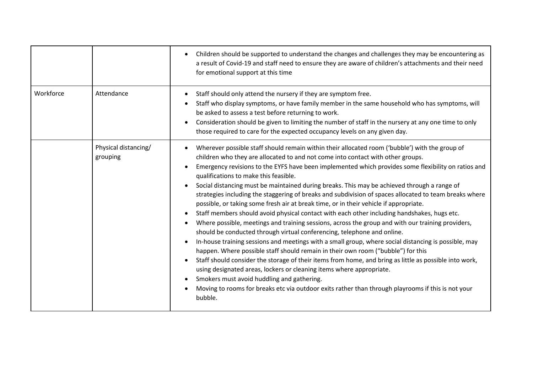|           |                                  | Children should be supported to understand the changes and challenges they may be encountering as<br>a result of Covid-19 and staff need to ensure they are aware of children's attachments and their need<br>for emotional support at this time                                                                                                                                                                                                                                                                                                                                                                                                                                                                                                                                                                                                                                                                                                                                                                                                                                                                                                                                                                                                                                                                                                                                                                                                                                                                    |
|-----------|----------------------------------|---------------------------------------------------------------------------------------------------------------------------------------------------------------------------------------------------------------------------------------------------------------------------------------------------------------------------------------------------------------------------------------------------------------------------------------------------------------------------------------------------------------------------------------------------------------------------------------------------------------------------------------------------------------------------------------------------------------------------------------------------------------------------------------------------------------------------------------------------------------------------------------------------------------------------------------------------------------------------------------------------------------------------------------------------------------------------------------------------------------------------------------------------------------------------------------------------------------------------------------------------------------------------------------------------------------------------------------------------------------------------------------------------------------------------------------------------------------------------------------------------------------------|
| Workforce | Attendance                       | Staff should only attend the nursery if they are symptom free.<br>$\bullet$<br>Staff who display symptoms, or have family member in the same household who has symptoms, will<br>be asked to assess a test before returning to work.<br>Consideration should be given to limiting the number of staff in the nursery at any one time to only<br>$\bullet$<br>those required to care for the expected occupancy levels on any given day.                                                                                                                                                                                                                                                                                                                                                                                                                                                                                                                                                                                                                                                                                                                                                                                                                                                                                                                                                                                                                                                                             |
|           | Physical distancing/<br>grouping | Wherever possible staff should remain within their allocated room ('bubble') with the group of<br>children who they are allocated to and not come into contact with other groups.<br>Emergency revisions to the EYFS have been implemented which provides some flexibility on ratios and<br>qualifications to make this feasible.<br>Social distancing must be maintained during breaks. This may be achieved through a range of<br>$\bullet$<br>strategies including the staggering of breaks and subdivision of spaces allocated to team breaks where<br>possible, or taking some fresh air at break time, or in their vehicle if appropriate.<br>Staff members should avoid physical contact with each other including handshakes, hugs etc.<br>Where possible, meetings and training sessions, across the group and with our training providers,<br>should be conducted through virtual conferencing, telephone and online.<br>In-house training sessions and meetings with a small group, where social distancing is possible, may<br>$\bullet$<br>happen. Where possible staff should remain in their own room ("bubble") for this<br>Staff should consider the storage of their items from home, and bring as little as possible into work,<br>$\bullet$<br>using designated areas, lockers or cleaning items where appropriate.<br>Smokers must avoid huddling and gathering.<br>$\bullet$<br>Moving to rooms for breaks etc via outdoor exits rather than through playrooms if this is not your<br>bubble. |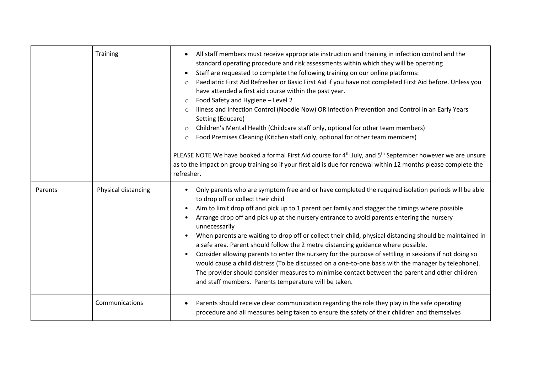|         | Training            | All staff members must receive appropriate instruction and training in infection control and the<br>$\bullet$<br>standard operating procedure and risk assessments within which they will be operating<br>Staff are requested to complete the following training on our online platforms:<br>$\bullet$<br>Paediatric First Aid Refresher or Basic First Aid if you have not completed First Aid before. Unless you<br>$\circ$<br>have attended a first aid course within the past year.<br>Food Safety and Hygiene - Level 2<br>$\circ$<br>Illness and Infection Control (Noodle Now) OR Infection Prevention and Control in an Early Years<br>$\circ$<br>Setting (Educare)<br>Children's Mental Health (Childcare staff only, optional for other team members)<br>$\circ$<br>Food Premises Cleaning (Kitchen staff only, optional for other team members)<br>$\circ$<br>PLEASE NOTE We have booked a formal First Aid course for 4 <sup>th</sup> July, and 5 <sup>th</sup> September however we are unsure<br>as to the impact on group training so if your first aid is due for renewal within 12 months please complete the<br>refresher. |
|---------|---------------------|----------------------------------------------------------------------------------------------------------------------------------------------------------------------------------------------------------------------------------------------------------------------------------------------------------------------------------------------------------------------------------------------------------------------------------------------------------------------------------------------------------------------------------------------------------------------------------------------------------------------------------------------------------------------------------------------------------------------------------------------------------------------------------------------------------------------------------------------------------------------------------------------------------------------------------------------------------------------------------------------------------------------------------------------------------------------------------------------------------------------------------------------|
| Parents | Physical distancing | Only parents who are symptom free and or have completed the required isolation periods will be able<br>$\bullet$<br>to drop off or collect their child<br>Aim to limit drop off and pick up to 1 parent per family and stagger the timings where possible<br>Arrange drop off and pick up at the nursery entrance to avoid parents entering the nursery<br>$\bullet$<br>unnecessarily<br>When parents are waiting to drop off or collect their child, physical distancing should be maintained in<br>$\bullet$<br>a safe area. Parent should follow the 2 metre distancing guidance where possible.<br>Consider allowing parents to enter the nursery for the purpose of settling in sessions if not doing so<br>$\bullet$<br>would cause a child distress (To be discussed on a one-to-one basis with the manager by telephone).<br>The provider should consider measures to minimise contact between the parent and other children<br>and staff members. Parents temperature will be taken.                                                                                                                                                |
|         | Communications      | Parents should receive clear communication regarding the role they play in the safe operating<br>procedure and all measures being taken to ensure the safety of their children and themselves                                                                                                                                                                                                                                                                                                                                                                                                                                                                                                                                                                                                                                                                                                                                                                                                                                                                                                                                                |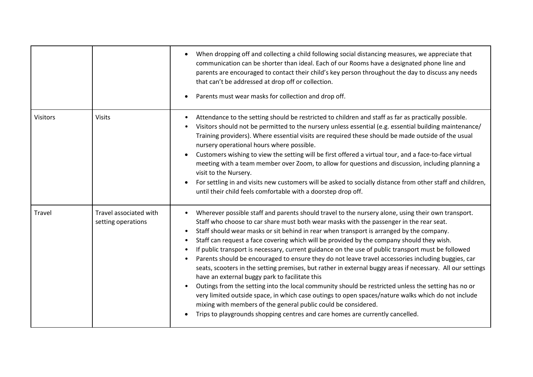|                 |                                              | When dropping off and collecting a child following social distancing measures, we appreciate that<br>communication can be shorter than ideal. Each of our Rooms have a designated phone line and<br>parents are encouraged to contact their child's key person throughout the day to discuss any needs<br>that can't be addressed at drop off or collection.<br>Parents must wear masks for collection and drop off.                                                                                                                                                                                                                                                                                                                                                                                                                                                                                                                                                                                                                                                                                                                                                      |
|-----------------|----------------------------------------------|---------------------------------------------------------------------------------------------------------------------------------------------------------------------------------------------------------------------------------------------------------------------------------------------------------------------------------------------------------------------------------------------------------------------------------------------------------------------------------------------------------------------------------------------------------------------------------------------------------------------------------------------------------------------------------------------------------------------------------------------------------------------------------------------------------------------------------------------------------------------------------------------------------------------------------------------------------------------------------------------------------------------------------------------------------------------------------------------------------------------------------------------------------------------------|
| <b>Visitors</b> | <b>Visits</b>                                | Attendance to the setting should be restricted to children and staff as far as practically possible.<br>٠<br>Visitors should not be permitted to the nursery unless essential (e.g. essential building maintenance/<br>Training providers). Where essential visits are required these should be made outside of the usual<br>nursery operational hours where possible.<br>Customers wishing to view the setting will be first offered a virtual tour, and a face-to-face virtual<br>meeting with a team member over Zoom, to allow for questions and discussion, including planning a<br>visit to the Nursery.<br>For settling in and visits new customers will be asked to socially distance from other staff and children,<br>until their child feels comfortable with a doorstep drop off.                                                                                                                                                                                                                                                                                                                                                                             |
| Travel          | Travel associated with<br>setting operations | Wherever possible staff and parents should travel to the nursery alone, using their own transport.<br>Staff who choose to car share must both wear masks with the passenger in the rear seat.<br>Staff should wear masks or sit behind in rear when transport is arranged by the company.<br>Staff can request a face covering which will be provided by the company should they wish.<br>$\bullet$<br>If public transport is necessary, current guidance on the use of public transport must be followed<br>$\bullet$<br>Parents should be encouraged to ensure they do not leave travel accessories including buggies, car<br>$\bullet$<br>seats, scooters in the setting premises, but rather in external buggy areas if necessary. All our settings<br>have an external buggy park to facilitate this<br>Outings from the setting into the local community should be restricted unless the setting has no or<br>very limited outside space, in which case outings to open spaces/nature walks which do not include<br>mixing with members of the general public could be considered.<br>Trips to playgrounds shopping centres and care homes are currently cancelled. |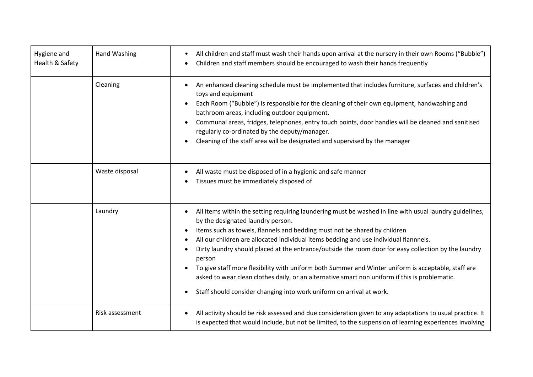| Hygiene and<br>Health & Safety | Hand Washing    | All children and staff must wash their hands upon arrival at the nursery in their own Rooms ("Bubble")<br>٠<br>Children and staff members should be encouraged to wash their hands frequently<br>$\bullet$                                                                                                                                                                                                                                                                                                                                                                                                                                                                                                                                      |
|--------------------------------|-----------------|-------------------------------------------------------------------------------------------------------------------------------------------------------------------------------------------------------------------------------------------------------------------------------------------------------------------------------------------------------------------------------------------------------------------------------------------------------------------------------------------------------------------------------------------------------------------------------------------------------------------------------------------------------------------------------------------------------------------------------------------------|
|                                | Cleaning        | An enhanced cleaning schedule must be implemented that includes furniture, surfaces and children's<br>$\bullet$<br>toys and equipment<br>Each Room ("Bubble") is responsible for the cleaning of their own equipment, handwashing and<br>bathroom areas, including outdoor equipment.<br>Communal areas, fridges, telephones, entry touch points, door handles will be cleaned and sanitised<br>regularly co-ordinated by the deputy/manager.<br>Cleaning of the staff area will be designated and supervised by the manager                                                                                                                                                                                                                    |
|                                | Waste disposal  | All waste must be disposed of in a hygienic and safe manner<br>Tissues must be immediately disposed of                                                                                                                                                                                                                                                                                                                                                                                                                                                                                                                                                                                                                                          |
|                                | Laundry         | All items within the setting requiring laundering must be washed in line with usual laundry guidelines,<br>$\bullet$<br>by the designated laundry person.<br>Items such as towels, flannels and bedding must not be shared by children<br>All our children are allocated individual items bedding and use individual flannnels.<br>Dirty laundry should placed at the entrance/outside the room door for easy collection by the laundry<br>person<br>To give staff more flexibility with uniform both Summer and Winter uniform is acceptable, staff are<br>asked to wear clean clothes daily, or an alternative smart non uniform if this is problematic.<br>Staff should consider changing into work uniform on arrival at work.<br>$\bullet$ |
|                                | Risk assessment | All activity should be risk assessed and due consideration given to any adaptations to usual practice. It<br>$\bullet$<br>is expected that would include, but not be limited, to the suspension of learning experiences involving                                                                                                                                                                                                                                                                                                                                                                                                                                                                                                               |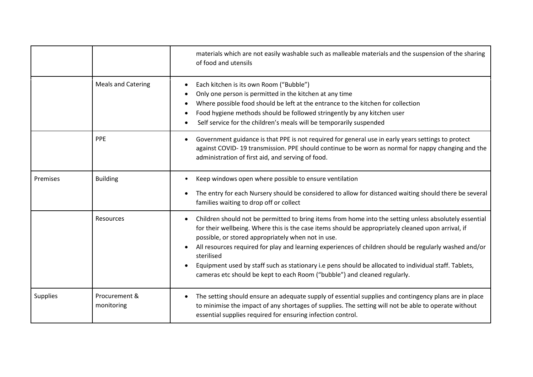|                 |                             | materials which are not easily washable such as malleable materials and the suspension of the sharing<br>of food and utensils                                                                                                                                                                                                                                                                                                                                                                                                                                                                 |
|-----------------|-----------------------------|-----------------------------------------------------------------------------------------------------------------------------------------------------------------------------------------------------------------------------------------------------------------------------------------------------------------------------------------------------------------------------------------------------------------------------------------------------------------------------------------------------------------------------------------------------------------------------------------------|
|                 | <b>Meals and Catering</b>   | Each kitchen is its own Room ("Bubble")<br>$\bullet$<br>Only one person is permitted in the kitchen at any time<br>Where possible food should be left at the entrance to the kitchen for collection<br>Food hygiene methods should be followed stringently by any kitchen user<br>$\bullet$<br>Self service for the children's meals will be temporarily suspended<br>$\bullet$                                                                                                                                                                                                               |
|                 | PPE                         | Government guidance is that PPE is not required for general use in early years settings to protect<br>$\bullet$<br>against COVID-19 transmission. PPE should continue to be worn as normal for nappy changing and the<br>administration of first aid, and serving of food.                                                                                                                                                                                                                                                                                                                    |
| Premises        | <b>Building</b>             | Keep windows open where possible to ensure ventilation<br>$\bullet$<br>The entry for each Nursery should be considered to allow for distanced waiting should there be several<br>$\bullet$<br>families waiting to drop off or collect                                                                                                                                                                                                                                                                                                                                                         |
|                 | Resources                   | Children should not be permitted to bring items from home into the setting unless absolutely essential<br>$\bullet$<br>for their wellbeing. Where this is the case items should be appropriately cleaned upon arrival, if<br>possible, or stored appropriately when not in use.<br>All resources required for play and learning experiences of children should be regularly washed and/or<br>sterilised<br>Equipment used by staff such as stationary i.e pens should be allocated to individual staff. Tablets,<br>cameras etc should be kept to each Room ("bubble") and cleaned regularly. |
| <b>Supplies</b> | Procurement &<br>monitoring | The setting should ensure an adequate supply of essential supplies and contingency plans are in place<br>$\bullet$<br>to minimise the impact of any shortages of supplies. The setting will not be able to operate without<br>essential supplies required for ensuring infection control.                                                                                                                                                                                                                                                                                                     |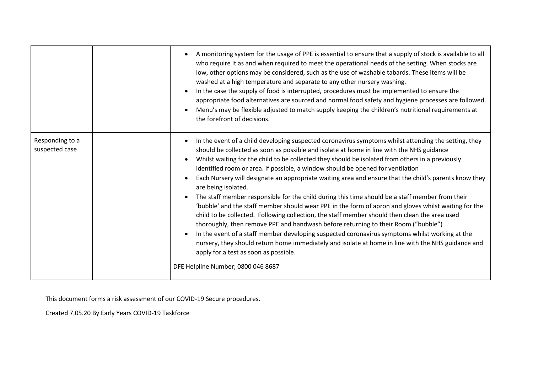|                                   | A monitoring system for the usage of PPE is essential to ensure that a supply of stock is available to all<br>who require it as and when required to meet the operational needs of the setting. When stocks are<br>low, other options may be considered, such as the use of washable tabards. These items will be<br>washed at a high temperature and separate to any other nursery washing.<br>In the case the supply of food is interrupted, procedures must be implemented to ensure the<br>$\bullet$<br>appropriate food alternatives are sourced and normal food safety and hygiene processes are followed.<br>Menu's may be flexible adjusted to match supply keeping the children's nutritional requirements at<br>the forefront of decisions.                                                                                                                                                                                                                                                                                                                                                                                                                                                                                                                 |
|-----------------------------------|-----------------------------------------------------------------------------------------------------------------------------------------------------------------------------------------------------------------------------------------------------------------------------------------------------------------------------------------------------------------------------------------------------------------------------------------------------------------------------------------------------------------------------------------------------------------------------------------------------------------------------------------------------------------------------------------------------------------------------------------------------------------------------------------------------------------------------------------------------------------------------------------------------------------------------------------------------------------------------------------------------------------------------------------------------------------------------------------------------------------------------------------------------------------------------------------------------------------------------------------------------------------------|
| Responding to a<br>suspected case | In the event of a child developing suspected coronavirus symptoms whilst attending the setting, they<br>$\bullet$<br>should be collected as soon as possible and isolate at home in line with the NHS guidance<br>Whilst waiting for the child to be collected they should be isolated from others in a previously<br>$\bullet$<br>identified room or area. If possible, a window should be opened for ventilation<br>Each Nursery will designate an appropriate waiting area and ensure that the child's parents know they<br>$\bullet$<br>are being isolated.<br>The staff member responsible for the child during this time should be a staff member from their<br>'bubble' and the staff member should wear PPE in the form of apron and gloves whilst waiting for the<br>child to be collected. Following collection, the staff member should then clean the area used<br>thoroughly, then remove PPE and handwash before returning to their Room ("bubble")<br>In the event of a staff member developing suspected coronavirus symptoms whilst working at the<br>$\bullet$<br>nursery, they should return home immediately and isolate at home in line with the NHS guidance and<br>apply for a test as soon as possible.<br>DFE Helpline Number; 0800 046 8687 |

This document forms a risk assessment of our COVID-19 Secure procedures.

Created 7.05.20 By Early Years COVID-19 Taskforce